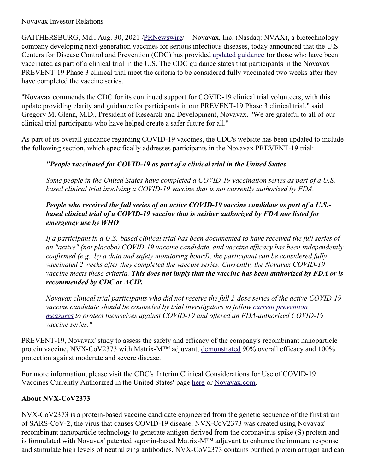#### Novavax Investor Relations

GAITHERSBURG, Md., Aug. 30, 2021 [/PRNewswire](http://www.prnewswire.com/)/ -- Novavax, Inc. (Nasdaq: NVAX), a biotechnology company developing next-generation vaccines for serious infectious diseases, today announced that the U.S. Centers for Disease Control and Prevention (CDC) has provided updated [guidance](https://c212.net/c/link/?t=0&l=en&o=3274725-1&h=543185456&u=https%3A%2F%2Fprotect-us.mimecast.com%2Fs%2F4HK4CPNlp0CKnpxQszEISf%3Fdomain%3Dcdc.gov&a=updated+guidance) for those who have been vaccinated as part of a clinical trial in the U.S. The CDC guidance states that participants in the Novavax PREVENT-19 Phase 3 clinical trial meet the criteria to be considered fully vaccinated two weeks after they have completed the vaccine series.

"Novavax commends the CDC for its continued support for COVID-19 clinical trial volunteers, with this update providing clarity and guidance for participants in our PREVENT-19 Phase 3 clinical trial," said Gregory M. Glenn, M.D., President of Research and Development, Novavax. "We are grateful to all of our clinical trial participants who have helped create a safer future for all."

As part of its overall guidance regarding COVID-19 vaccines, the CDC's website has been updated to include the following section, which specifically addresses participants in the Novavax PREVENT-19 trial:

# *"People vaccinated for COVID-19 as part of a clinical trial in the United States*

*Some people in the United States have completed a COVID-19 vaccination series as part of a U.S. based clinical trial involving a COVID-19 vaccine that is not currently authorized by FDA.*

## *People who received the full series of an active COVID-19 vaccine candidate as part of a U.S. based clinical trial of a COVID-19 vaccine that is neither authorized by FDA nor listed for emergency use by WHO*

If a participant in a U.S.-based clinical trial has been documented to have received the full series of *an "active" (not placebo) COVID-19 vaccine candidate, and vaccine ef icacy has been independently confirmed (e.g., by a data and safety monitoring board), the participant can be considered fully vaccinated 2 weeks after they completed the vaccine series. Currently, the Novavax COVID-19* vaccine meets these criteria. This does not imply that the vaccine has been authorized by FDA or is *recommended by CDC or ACIP.*

*Novavax clinical trial participants who did not receive the full 2-dose series of the active COVID-19 vaccine candidate should be counseled by trial investigators to follow current prevention measures to protect themselves against COVID-19 and of ered an [FDA-authorized](https://c212.net/c/link/?t=0&l=en&o=3274725-1&h=2858579956&u=https%3A%2F%2Fprotect-us.mimecast.com%2Fs%2Fk_PNCQWmqYFkL0W7FPrufd%3Fdomain%3Dcdc.gov&a=current+prevention+measures) COVID-19 vaccine series."*

PREVENT-19, Novavax' study to assess the safety and efficacy of the company's recombinant nanoparticle protein vaccine, NVX-CoV2373 with Matrix-M<sup>™</sup> adjuvant, [demonstrated](https://c212.net/c/link/?t=0&l=en&o=3274725-1&h=2743430290&u=https%3A%2F%2Fir.novavax.com%2F2021-06-14-Novavax-COVID-19-Vaccine-Demonstrates-90-Overall-Efficacy-and-100-Protection-Against-Moderate-and-Severe-Disease-in-PREVENT-19-Phase-3-Trial&a=demonstrated) 90% overall efficacy and 100% protection against moderate and severe disease.

For more information, please visit the CDC's 'Interim Clinical Considerations for Use of COVID-19 Vaccines Currently Authorized in the United States' page [here](https://c212.net/c/link/?t=0&l=en&o=3274725-1&h=1861054115&u=https%3A%2F%2Fwww.cdc.gov%2Fvaccines%2Fcovid-19%2Fclinical-considerations%2Fcovid-19-vaccines-us.html&a=here) or [Novavax.com](https://c212.net/c/link/?t=0&l=en&o=3274725-1&h=1124286718&u=https%3A%2F%2Fwww.novavax.com%2Fcovid-19-coronavirus-vaccine-candidate-updates&a=Novavax.com).

## **About NVX-CoV2373**

NVX-CoV2373 is a protein-based vaccine candidate engineered from the genetic sequence of the first strain of SARS-CoV-2, the virus that causes COVID-19 disease. NVX-CoV2373 was created using Novavax' recombinant nanoparticle technology to generate antigen derived from the coronavirus spike (S) protein and is formulated with Novavax' patented saponin-based Matrix-M™ adjuvant to enhance the immune response and stimulate high levels of neutralizing antibodies. NVX-CoV2373 contains purified protein antigen and can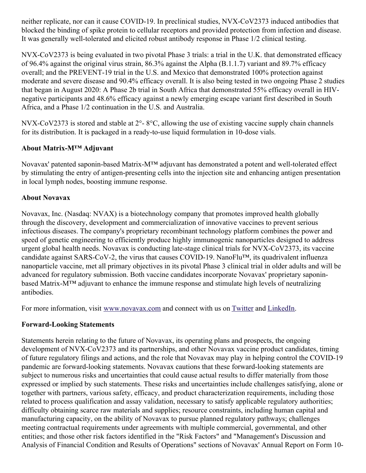neither replicate, nor can it cause COVID-19. In preclinical studies, NVX-CoV2373 induced antibodies that blocked the binding of spike protein to cellular receptors and provided protection from infection and disease. It was generally well-tolerated and elicited robust antibody response in Phase 1/2 clinical testing.

NVX-CoV2373 is being evaluated in two pivotal Phase 3 trials: a trial in the U.K. that demonstrated efficacy of 96.4% against the original virus strain, 86.3% against the Alpha (B.1.1.7) variant and 89.7% efficacy overall; and the PREVENT-19 trial in the U.S. and Mexico that demonstrated 100% protection against moderate and severe disease and 90.4% efficacy overall. It is also being tested in two ongoing Phase 2 studies that began in August 2020: A Phase 2b trial in South Africa that demonstrated 55% efficacy overall in HIVnegative participants and 48.6% efficacy against a newly emerging escape variant first described in South Africa, and a Phase 1/2 continuation in the U.S. and Australia.

NVX-CoV2373 is stored and stable at 2°- 8°C, allowing the use of existing vaccine supply chain channels for its distribution. It is packaged in a ready-to-use liquid formulation in 10-dose vials.

## **About Matrix-M™ Adjuvant**

Novavax' patented saponin-based Matrix-M™ adjuvant has demonstrated a potent and well-tolerated effect by stimulating the entry of antigen-presenting cells into the injection site and enhancing antigen presentation in local lymph nodes, boosting immune response.

## **About Novavax**

Novavax, Inc. (Nasdaq: NVAX) is a biotechnology company that promotes improved health globally through the discovery, development and commercialization of innovative vaccines to prevent serious infectious diseases. The company's proprietary recombinant technology platform combines the power and speed of genetic engineering to efficiently produce highly immunogenic nanoparticles designed to address urgent global health needs. Novavax is conducting late-stage clinical trials for NVX-CoV2373, its vaccine candidate against SARS-CoV-2, the virus that causes COVID-19. NanoFlu™, its quadrivalent influenza nanoparticle vaccine, met all primary objectives in its pivotal Phase 3 clinical trial in older adults and will be advanced for regulatory submission. Both vaccine candidates incorporate Novavax' proprietary saponinbased Matrix-M™ adjuvant to enhance the immune response and stimulate high levels of neutralizing antibodies.

For more information, visit [www.novavax.com](https://c212.net/c/link/?t=0&l=en&o=3274725-1&h=49697234&u=http%3A%2F%2Fwww.novavax.com%2F&a=www.novavax.com) and connect with us on [Twitter](https://c212.net/c/link/?t=0&l=en&o=3274725-1&h=3761957494&u=https%3A%2F%2Fc212.net%2Fc%2Flink%2F%3Ft%3D0%26l%3Den%26o%3D3158017-1%26h%3D500821283%26u%3Dhttps%253A%252F%252Ftwitter.com%252FNovavax%26a%3DTwitter&a=Twitter) and [LinkedIn](https://c212.net/c/link/?t=0&l=en&o=3274725-1&h=4155028917&u=https%3A%2F%2Fc212.net%2Fc%2Flink%2F%3Ft%3D0%26l%3Den%26o%3D3158017-1%26h%3D3702938248%26u%3Dhttps%253A%252F%252Fwww.linkedin.com%252Fcompany%252Fnovavax%252F%26a%3DLinkedIn&a=LinkedIn).

## **Forward-Looking Statements**

Statements herein relating to the future of Novavax, its operating plans and prospects, the ongoing development of NVX-CoV2373 and its partnerships, and other Novavax vaccine product candidates, timing of future regulatory filings and actions, and the role that Novavax may play in helping control the COVID-19 pandemic are forward-looking statements. Novavax cautions that these forward-looking statements are subject to numerous risks and uncertainties that could cause actual results to differ materially from those expressed or implied by such statements. These risks and uncertainties include challenges satisfying, alone or together with partners, various safety, efficacy, and product characterization requirements, including those related to process qualification and assay validation, necessary to satisfy applicable regulatory authorities; difficulty obtaining scarce raw materials and supplies; resource constraints, including human capital and manufacturing capacity, on the ability of Novavax to pursue planned regulatory pathways; challenges meeting contractual requirements under agreements with multiple commercial, governmental, and other entities; and those other risk factors identified in the "Risk Factors" and "Management's Discussion and Analysis of Financial Condition and Results of Operations" sections of Novavax' Annual Report on Form 10